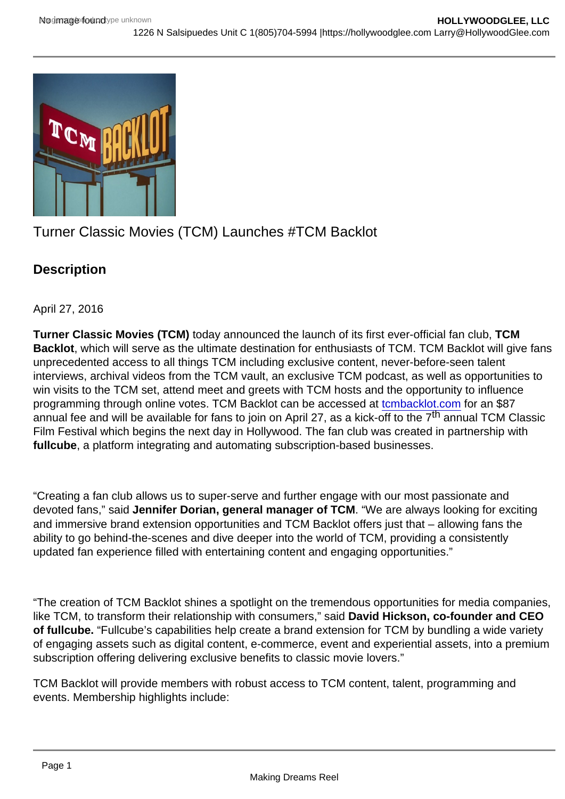## Turner Classic Movies (TCM) Launches #TCM Backlot

**Description** 

April 27, 2016

Turner Classic Movies (TCM) today announced the launch of its first ever-official fan club, TCM Backlot , which will serve as the ultimate destination for enthusiasts of TCM. TCM Backlot will give fans unprecedented access to all things TCM including exclusive content, never-before-seen talent interviews, archival videos from the TCM vault, an exclusive TCM podcast, as well as opportunities to win visits to the TCM set, attend meet and greets with TCM hosts and the opportunity to influence programming through online votes. TCM Backlot can be accessed at [tcmbacklot.com](http://tcmbacklot.com/) for an \$87 annual fee and will be available for fans to join on April 27, as a kick-off to the  $7<sup>th</sup>$  annual TCM Classic Film Festival which begins the next day in Hollywood. The fan club was created in partnership with fullcube , a platform integrating and automating subscription-based businesses.

"Creating a fan club allows us to super-serve and further engage with our most passionate and devoted fans," said Jennifer Dorian, general manager of TCM . "We are always looking for exciting and immersive brand extension opportunities and TCM Backlot offers just that – allowing fans the ability to go behind-the-scenes and dive deeper into the world of TCM, providing a consistently updated fan experience filled with entertaining content and engaging opportunities."

"The creation of TCM Backlot shines a spotlight on the tremendous opportunities for media companies, like TCM, to transform their relationship with consumers," said David Hickson, co-founder and CEO of fullcube. "Fullcube's capabilities help create a brand extension for TCM by bundling a wide variety of engaging assets such as digital content, e-commerce, event and experiential assets, into a premium subscription offering delivering exclusive benefits to classic movie lovers."

TCM Backlot will provide members with robust access to TCM content, talent, programming and events. Membership highlights include: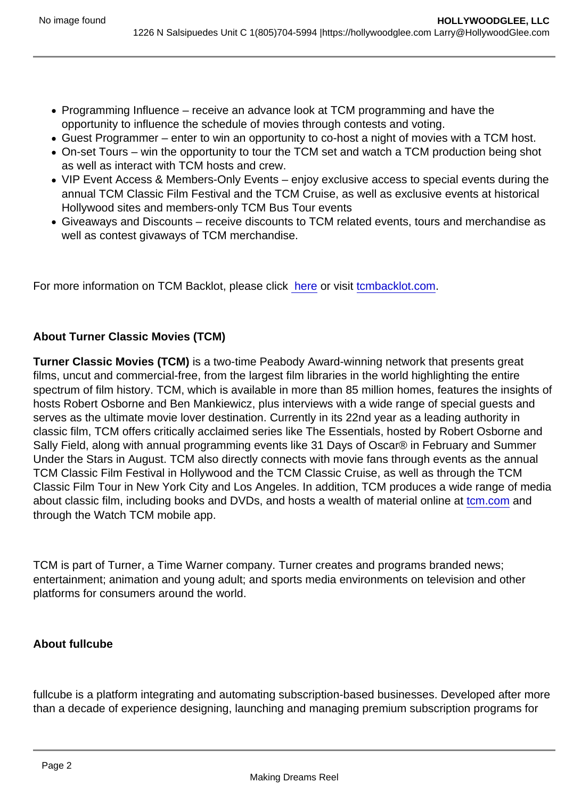- Programming Influence receive an advance look at TCM programming and have the opportunity to influence the schedule of movies through contests and voting.
- Guest Programmer enter to win an opportunity to co-host a night of movies with a TCM host.
- On-set Tours win the opportunity to tour the TCM set and watch a TCM production being shot as well as interact with TCM hosts and crew.
- VIP Event Access & Members-Only Events enjoy exclusive access to special events during the annual TCM Classic Film Festival and the TCM Cruise, as well as exclusive events at historical Hollywood sites and members-only TCM Bus Tour events
- Giveaways and Discounts receive discounts to TCM related events, tours and merchandise as well as contest givaways of TCM merchandise.

For more information on TCM Backlot, please click [here](https://www.turner.com/pressroom/tcm-backlot) or visit [tcmbacklot.com](http://tcmbacklot.com).

## About Turner Classic Movies (TCM)

Turner Classic Movies (TCM) is a two-time Peabody Award-winning network that presents great films, uncut and commercial-free, from the largest film libraries in the world highlighting the entire spectrum of film history. TCM, which is available in more than 85 million homes, features the insights of hosts Robert Osborne and Ben Mankiewicz, plus interviews with a wide range of special guests and serves as the ultimate movie lover destination. Currently in its 22nd year as a leading authority in classic film, TCM offers critically acclaimed series like The Essentials, hosted by Robert Osborne and Sally Field, along with annual programming events like 31 Days of Oscar® in February and Summer Under the Stars in August. TCM also directly connects with movie fans through events as the annual TCM Classic Film Festival in Hollywood and the TCM Classic Cruise, as well as through the TCM Classic Film Tour in New York City and Los Angeles. In addition, TCM produces a wide range of media about classic film, including books and DVDs, and hosts a wealth of material online at [tcm.com](http://tcm.com) and through the Watch TCM mobile app.

TCM is part of Turner, a Time Warner company. Turner creates and programs branded news; entertainment; animation and young adult; and sports media environments on television and other platforms for consumers around the world.

About fullcube

fullcube is a platform integrating and automating subscription-based businesses. Developed after more than a decade of experience designing, launching and managing premium subscription programs for